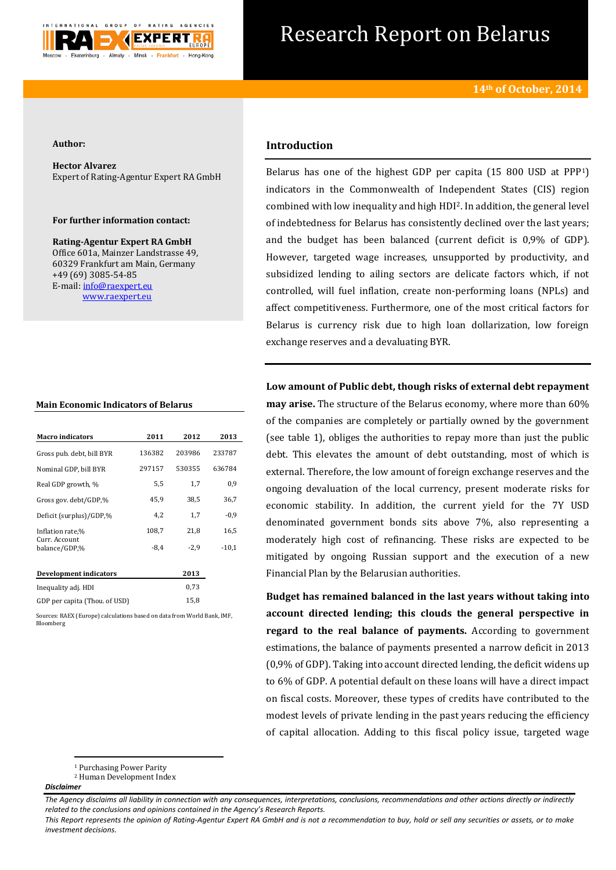

# Research Report on Belarus

#### **Author:**

**Hector Alvarez** Expert of Rating-Agentur Expert RA GmbH

#### **For further information contact:**

**Rating-Agentur Expert RA GmbH** Office 601a, Mainzer Landstrasse 49, 60329 Frankfurt am Main, Germany +49 (69) 3085-54-85 E-mail[: info@raexpert.eu](mailto:info@raexpert.eu) [www.raexpert.eu](http://raexpert.eu/)

| <b>Macro indicators</b>        | 2011   | 2012   | 2013    |
|--------------------------------|--------|--------|---------|
| Gross pub. debt, bill BYR      | 136382 | 203986 | 233787  |
| Nominal GDP, bill BYR          | 297157 | 530355 | 636784  |
| Real GDP growth, %             | 5,5    | 1,7    | 0,9     |
| Gross gov. debt/GDP,%          | 45,9   | 38,5   | 36,7    |
| Deficit (surplus)/GDP,%        | 4,2    | 1,7    | $-0.9$  |
| Inflation rate,%               | 108,7  | 21,8   | 16,5    |
| Curr. Account<br>balance/GDP.% | $-8,4$ | $-2,9$ | $-10,1$ |
| Development indicators         |        | 2013   |         |
| Inequality adj. HDI            |        | 0,73   |         |
| GDP per capita (Thou, of USD)  |        | 15,8   |         |

Sources: RAEX (Europe) calculations based on data from World Bank, IMF, Bloomberg

## **Introduction**

Belarus has one of the highest GDP per capita (15 800 USD at PPP1) indicators in the Commonwealth of Independent States (CIS) region combined with low inequality and high HDI2. In addition, the general level of indebtedness for Belarus has consistently declined over the last years; and the budget has been balanced (current deficit is 0,9% of GDP). However, targeted wage increases, unsupported by productivity, and subsidized lending to ailing sectors are delicate factors which, if not controlled, will fuel inflation, create non-performing loans (NPLs) and affect competitiveness. Furthermore, one of the most critical factors for Belarus is currency risk due to high loan dollarization, low foreign exchange reserves and a devaluating BYR.

**Low amount of Public debt, though risks of external debt repayment may arise.** The structure of the Belarus economy, where more than 60% of the companies are completely or partially owned by the government (see table 1), obliges the authorities to repay more than just the public debt. This elevates the amount of debt outstanding, most of which is external. Therefore, the low amount of foreign exchange reserves and the ongoing devaluation of the local currency, present moderate risks for economic stability. In addition, the current yield for the 7Y USD denominated government bonds sits above 7%, also representing a moderately high cost of refinancing. These risks are expected to be mitigated by ongoing Russian support and the execution of a new Financial Plan by the Belarusian authorities.

**Budget has remained balanced in the last years without taking into account directed lending; this clouds the general perspective in regard to the real balance of payments.** According to government estimations, the balance of payments presented a narrow deficit in 2013 (0,9% of GDP). Taking into account directed lending, the deficit widens up to 6% of GDP. A potential default on these loans will have a direct impact on fiscal costs. Moreover, these types of credits have contributed to the modest levels of private lending in the past years reducing the efficiency of capital allocation. Adding to this fiscal policy issue, targeted wage

#### *Disclaimer*

**<sup>.</sup>** <sup>1</sup> Purchasing Power Parity

<sup>2</sup> Human Development Index

*The Agency disclaims all liability in connection with any consequences, interpretations, conclusions, recommendations and other actions directly or indirectly related to the conclusions and opinions contained in the Agency's Research Reports.*

*This Report represents the opinion of Rating-Agentur Expert RA GmbH and is not a recommendation to buy, hold or sell any securities or assets, or to make investment decisions.*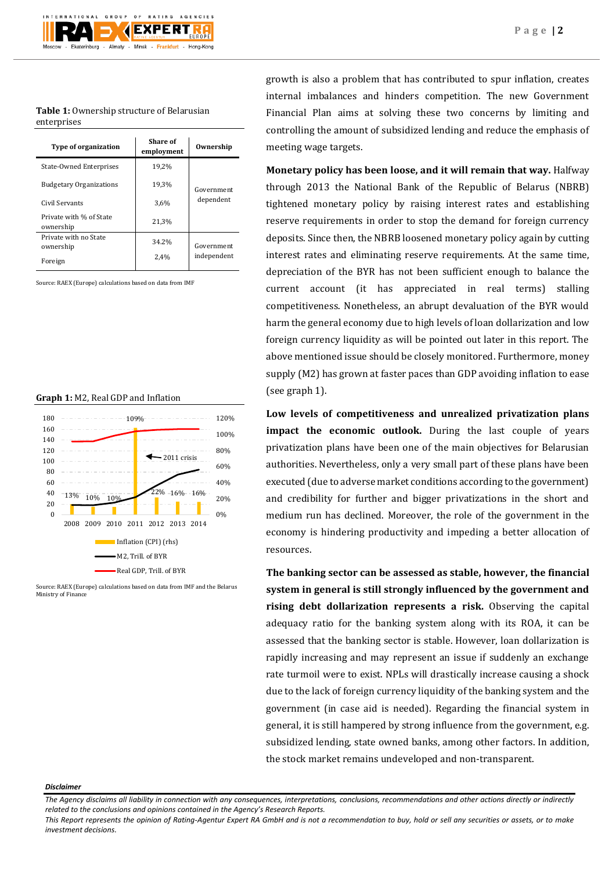**Table 1:** Ownership structure of Belarusian enterprises

| <b>Type of organization</b>          | Share of<br>employment | Ownership  |  |
|--------------------------------------|------------------------|------------|--|
| State-Owned Enterprises              | 19.2%                  | Government |  |
| <b>Budgetary Organizations</b>       | 19,3%                  |            |  |
| Civil Servants                       | 3,6%                   |            |  |
| Private with % of State<br>ownership | 21,3%                  |            |  |
| Private with no State<br>ownership   | 34.2%                  | Government |  |
| Foreign                              | 2,4%                   |            |  |

Source: RAEX (Europe) calculations based on data from IMF

#### **Graph 1:** M2, Real GDP and Inflation



Source: RAEX (Europe) calculations based on data from IMF and the Belarus Ministry of Finance

growth is also a problem that has contributed to spur inflation, creates internal imbalances and hinders competition. The new Government Financial Plan aims at solving these two concerns by limiting and controlling the amount of subsidized lending and reduce the emphasis of meeting wage targets.

**Monetary policy has been loose, and it will remain that way.** Halfway through 2013 the National Bank of the Republic of Belarus (NBRB) tightened monetary policy by raising interest rates and establishing reserve requirements in order to stop the demand for foreign currency deposits. Since then, the NBRB loosened monetary policy again by cutting interest rates and eliminating reserve requirements. At the same time, depreciation of the BYR has not been sufficient enough to balance the current account (it has appreciated in real terms) stalling competitiveness. Nonetheless, an abrupt devaluation of the BYR would harm the general economy due to high levels of loan dollarization and low foreign currency liquidity as will be pointed out later in this report. The above mentioned issue should be closely monitored. Furthermore, money supply (M2) has grown at faster paces than GDP avoiding inflation to ease (see graph 1).

**Low levels of competitiveness and unrealized privatization plans impact the economic outlook.** During the last couple of years privatization plans have been one of the main objectives for Belarusian authorities. Nevertheless, only a very small part of these plans have been executed (due to adverse market conditions according to the government) and credibility for further and bigger privatizations in the short and medium run has declined. Moreover, the role of the government in the economy is hindering productivity and impeding a better allocation of resources.

**The banking sector can be assessed as stable, however, the financial system in general is still strongly influenced by the government and rising debt dollarization represents a risk.** Observing the capital adequacy ratio for the banking system along with its ROA, it can be assessed that the banking sector is stable. However, loan dollarization is rapidly increasing and may represent an issue if suddenly an exchange rate turmoil were to exist. NPLs will drastically increase causing a shock due to the lack of foreign currency liquidity of the banking system and the government (in case aid is needed). Regarding the financial system in general, it is still hampered by strong influence from the government, e.g. subsidized lending, state owned banks, among other factors. In addition, the stock market remains undeveloped and non-transparent.

#### *Disclaimer*

*The Agency disclaims all liability in connection with any consequences, interpretations, conclusions, recommendations and other actions directly or indirectly related to the conclusions and opinions contained in the Agency's Research Reports.*

*This Report represents the opinion of Rating-Agentur Expert RA GmbH and is not a recommendation to buy, hold or sell any securities or assets, or to make investment decisions.*